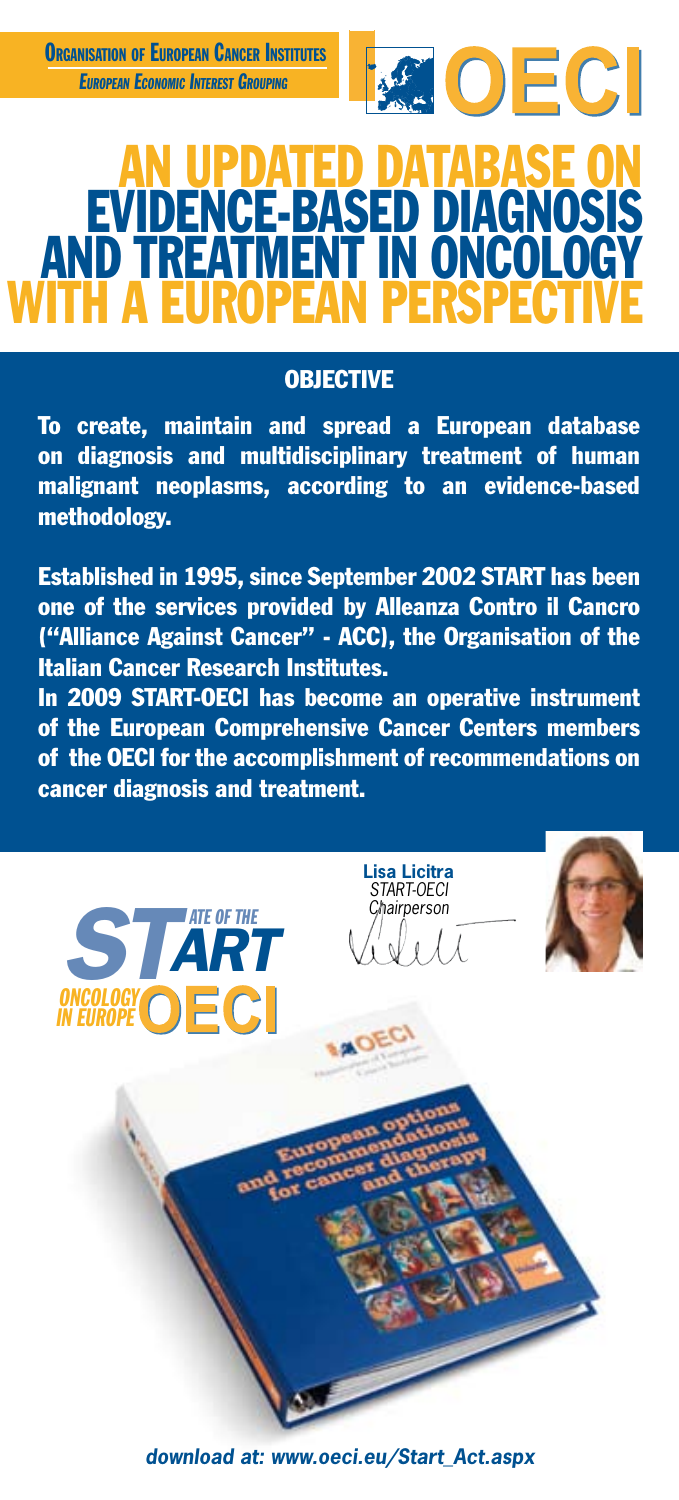

# AN UPDATED DATABASE ON EVIDENCE-BASED DIAGNOSIS AND TREATMENT IN ONCOLOGY WITH A EUROPEAN PERSPECTIVE

## **OBJECTIVE**

To create, maintain and spread a European database on diagnosis and multidisciplinary treatment of human malignant neoplasms, according to an evidence-based methodology.

Established in 1995, since September 2002 START has been one of the services provided by Alleanza Contro il Cancro ("Alliance Against Cancer" - ACC), the Organisation of the Italian Cancer Research Institutes.

In 2009 START-OECI has become an operative instrument of the European Comprehensive Cancer Centers members of the OECI for the accomplishment of recommendations on cancer diagnosis and treatment.





*download at: www.oeci.eu/Start\_Act.aspx*